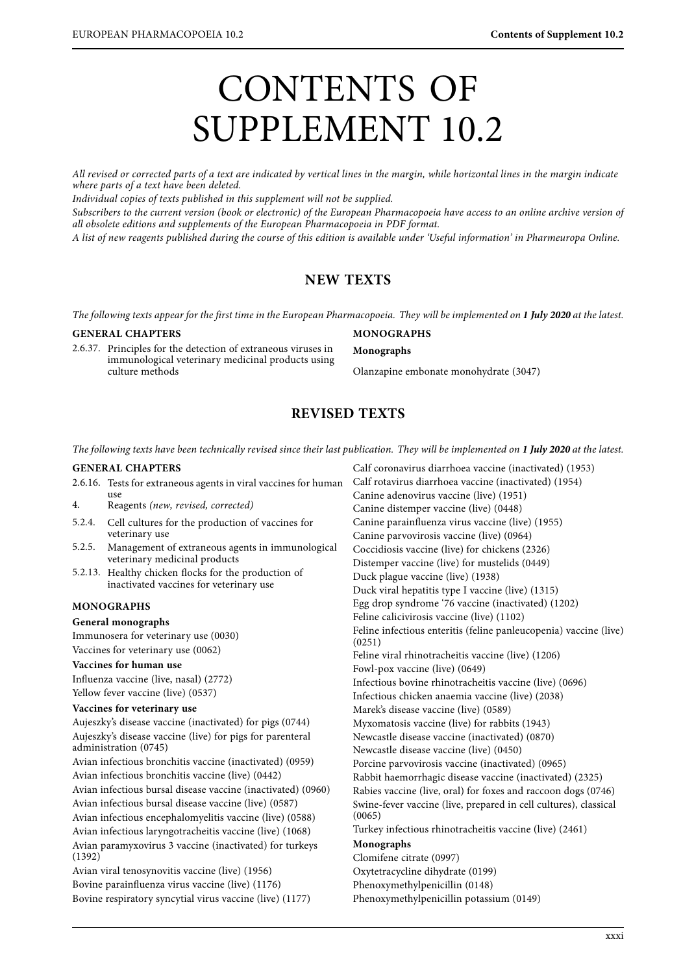# CONTENTS OF SUPPLEMENT 10.2

All revised or corrected parts of a text are indicated by vertical lines in the margin, while horizontal lines in the margin indicate where parts of a text have been deleted.

Individual copies of texts published in this supplement will not be supplied.

Subscribers to the current version (book or electronic) of the European Pharmacopoeia have access to an online archive version of all obsolete editions and supplements of the European Pharmacopoeia in PDF format.

all observed entitive mini-tup permants by the European Pharmacopoeia in PDF format.<br>A list of new reagants published during the course of this edition is quailable under To A list of new reagents published during the course of this edition is available under the course of the course of this edition is available under  $\mathcal{L}$ 

# **NEW TEXTS**

The following texts appear for the first time in the European Pharmacopoeia. They will be implemented on **1 July 2020** at the latest.

#### **GENERAL CHAPTERS**

2.6.37. Principles for the detection of extraneous viruses in immunological veterinary medicinal products using culture methods

## **MONOGRAPHS**

#### **Monographs**

Olanzapine embonate monohydrate (3047)

Calf coronavirus diarrhoea vaccine (inactivated) (1953)

# **REVISED TEXTS**

The following texts have been technically revised since their last publication. They will be implemented on **1 July 2020** at the latest.

## **GENERAL CHAPTERS**

2.6.16. Tests for extraneous agents in viral vaccines for human use<br>4. Reagents (new, revised, corrected)<br>5.2.4 Cell cultures for the production of

- 5.2.4. Cell cultures for the production of vaccines for veterinary use
- 5.2.5. Management of extraneous agents in immunological veterinary medicinal products
- 5.2.13. Healthy chicken flocks for the production of inactivated vaccines for veterinary use

## **MONOGRAPHS**

# **General monographs**

Immunosera for veterinary use (0030) Vaccines for veterinary use (0062)

#### **Vaccines for human use**

Influenza vaccine (live, nasal) (2772) Yellow fever vaccine (live) (0537)

#### **Vaccines for veterinary use**

Aujeszky's disease vaccine (inactivated) for pigs (0744) Aujeszky's disease vaccine (live) for pigs for parenteral administration (0745) Avian infectious bronchitis vaccine (inactivated) (0959) Avian infectious bronchitis vaccine (live) (0442) Avian infectious bursal disease vaccine (inactivated) (0960) Avian infectious bursal disease vaccine (live) (0587) Avian infectious encephalomyelitis vaccine (live) (0588) Avian infectious laryngotracheitis vaccine (live) (1068) Avian paramyxovirus 3 vaccine (inactivated) for turkeys (1392) Avian viral tenosynovitis vaccine (live) (1956)

Bovine parainfluenza virus vaccine (live) (1176) Bovine respiratory syncytial virus vaccine (live) (1177) Calf rotavirus diarrhoea vaccine (inactivated) (1954) Canine adenovirus vaccine (live) (1951) Canine distemper vaccine (live) (0448) Canine parainfluenza virus vaccine (live) (1955) Canine parvovirosis vaccine (live) (0964) Coccidiosis vaccine (live) for chickens (2326) Distemper vaccine (live) for mustelids (0449) Duck plague vaccine (live) (1938) Duck viral hepatitis type I vaccine (live) (1315) Egg drop syndrome '76 vaccine (inactivated) (1202) Feline calicivirosis vaccine (live) (1102) Feline infectious enteritis (feline panleucopenia) vaccine (live) (0251) Feline viral rhinotracheitis vaccine (live) (1206) Fowl-pox vaccine (live) (0649) Infectious bovine rhinotracheitis vaccine (live) (0696) Infectious chicken anaemia vaccine (live) (2038) Marek's disease vaccine (live) (0589) Myxomatosis vaccine (live) for rabbits (1943) Newcastle disease vaccine (inactivated) (0870) Newcastle disease vaccine (live) (0450) Porcine parvovirosis vaccine (inactivated) (0965) Rabbit haemorrhagic disease vaccine (inactivated) (2325) Rabies vaccine (live, oral) for foxes and raccoon dogs (0746) Swine-fever vaccine (live, prepared in cell cultures), classical (0065) Turkey infectious rhinotracheitis vaccine (live) (2461) **Monographs** Clomifene citrate (0997) Oxytetracycline dihydrate (0199)

Phenoxymethylpenicillin (0148)

Phenoxymethylpenicillin potassium (0149)